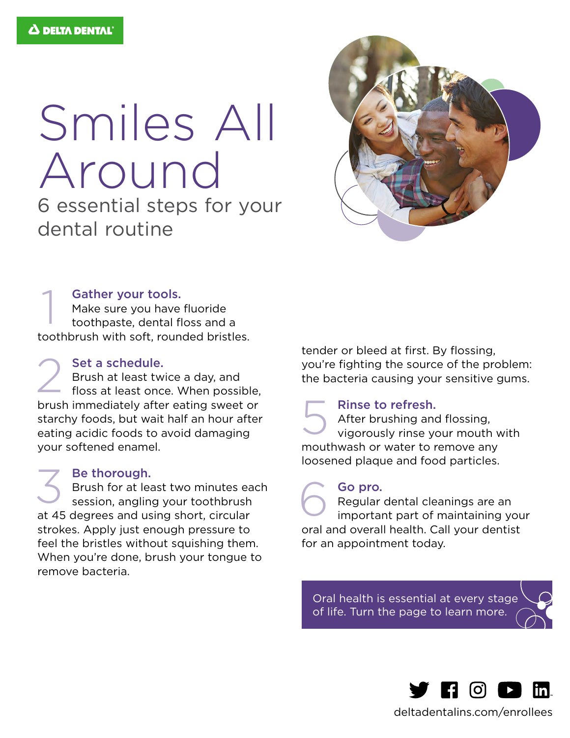# Smiles All Around

6 essential steps for your dental routine



#### Gather your tools.

Make sure you have fluoride toothpaste, dental floss and a toothbrush with soft, rounded bristles. 1

#### Set a schedule.

Brush at least twice a day, and floss at least once. When possible, brush immediately after eating sweet or starchy foods, but wait half an hour after eating acidic foods to avoid damaging your softened enamel. 2

#### Be thorough. Brush for at least two minutes each session, angling your toothbrush at 45 degrees and using short, circular strokes. Apply just enough pressure to feel the bristles without squishing them. When you're done, brush your tongue to remove bacteria. 3

tender or bleed at first. By flossing, you're fighting the source of the problem: the bacteria causing your sensitive gums.

#### Rinse to refresh.

After brushing and flossing, vigorously rinse your mouth with mouthwash or water to remove any loosened plaque and food particles. 5

#### Go pro.

Regular dental cleanings are an important part of maintaining your oral and overall health. Call your dentist for an appointment today. 6

Oral health is essential at every stage of life. Turn the page to learn more.



[deltadentalins.com/enrollees](https://www.deltadentalins.com)